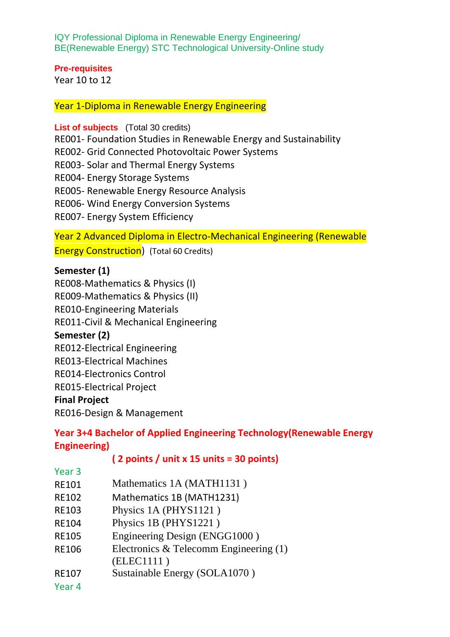IQY Professional Diploma in Renewable Energy Engineering/ BE(Renewable Energy) STC Technological University-Online study

#### **Pre-requisites**

Year 10 to 12

Year 1-Diploma in Renewable Energy Engineering

**List of subjects** (Total 30 credits) RE001- Foundation Studies in Renewable Energy and Sustainability RE002- Grid Connected Photovoltaic Power Systems RE003- Solar and Thermal Energy Systems RE004- Energy Storage Systems RE005- Renewable Energy Resource Analysis RE006- Wind Energy Conversion Systems

RE007- Energy System Efficiency

Year 2 Advanced Diploma in Electro-Mechanical Engineering (Renewable

**Energy Construction**) (Total 60 Credits)

### **Semester (1)**

RE008-Mathematics & Physics (I) RE009-Mathematics & Physics (II) RE010-Engineering Materials RE011-Civil & Mechanical Engineering **Semester (2)**  RE012-Electrical Engineering RE013-Electrical Machines RE014-Electronics Control RE015-Electrical Project **Final Project** 

RE016-Design & Management

# **Year 3+4 Bachelor of Applied Engineering Technology(Renewable Energy Engineering)**

## **( 2 points / unit x 15 units = 30 points)**

| Year 3                                           |                                          |
|--------------------------------------------------|------------------------------------------|
| RE101                                            | Mathematics 1A (MATH1131)                |
| <b>RE102</b>                                     | Mathematics 1B (MATH1231)                |
| RE103                                            | Physics 1A (PHYS1121)                    |
| <b>RE104</b>                                     | Physics 1B (PHYS1221)                    |
| <b>RE105</b>                                     | Engineering Design (ENGG1000)            |
| <b>RE106</b>                                     | Electronics & Telecomm Engineering $(1)$ |
|                                                  | (ELEC1111)                               |
| <b>RE107</b>                                     | Sustainable Energy (SOLA1070)            |
| $\mathcal{L}$ $\sim$ $\mathcal{L}$ $\mathcal{L}$ |                                          |

Year 4